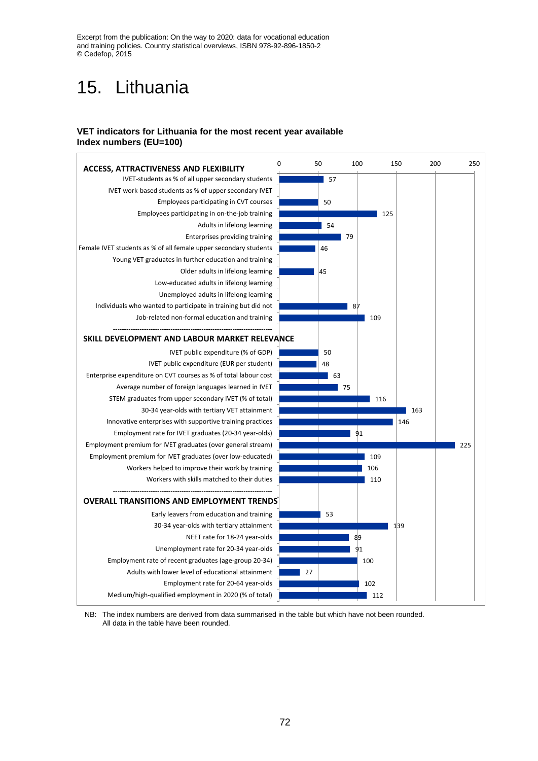Excerpt from the publication: On the way to 2020: data for vocational education and training policies. Country statistical overviews, ISBN 978-92-896-1850-2 © Cedefop, 2015

# 15. Lithuania

#### **VET indicators for Lithuania for the most recent year available Index numbers (EU=100)**



NB: The index numbers are derived from data summarised in the table but which have not been rounded. All data in the table have been rounded.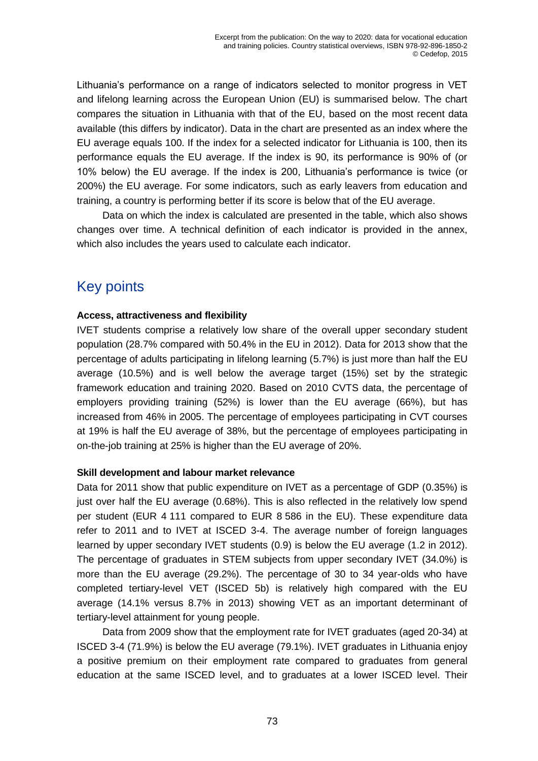Lithuania's performance on a range of indicators selected to monitor progress in VET and lifelong learning across the European Union (EU) is summarised below. The chart compares the situation in Lithuania with that of the EU, based on the most recent data available (this differs by indicator). Data in the chart are presented as an index where the EU average equals 100. If the index for a selected indicator for Lithuania is 100, then its performance equals the EU average. If the index is 90, its performance is 90% of (or 10% below) the EU average. If the index is 200, Lithuania's performance is twice (or 200%) the EU average. For some indicators, such as early leavers from education and training, a country is performing better if its score is below that of the EU average.

Data on which the index is calculated are presented in the table, which also shows changes over time. A technical definition of each indicator is provided in the annex, which also includes the years used to calculate each indicator.

# Key points

## **Access, attractiveness and flexibility**

IVET students comprise a relatively low share of the overall upper secondary student population (28.7% compared with 50.4% in the EU in 2012). Data for 2013 show that the percentage of adults participating in lifelong learning (5.7%) is just more than half the EU average (10.5%) and is well below the average target (15%) set by the strategic framework education and training 2020. Based on 2010 CVTS data, the percentage of employers providing training (52%) is lower than the EU average (66%), but has increased from 46% in 2005. The percentage of employees participating in CVT courses at 19% is half the EU average of 38%, but the percentage of employees participating in on-the-job training at 25% is higher than the EU average of 20%.

### **Skill development and labour market relevance**

Data for 2011 show that public expenditure on IVET as a percentage of GDP (0.35%) is just over half the EU average (0.68%). This is also reflected in the relatively low spend per student (EUR 4 111 compared to EUR 8 586 in the EU). These expenditure data refer to 2011 and to IVET at ISCED 3-4. The average number of foreign languages learned by upper secondary IVET students (0.9) is below the EU average (1.2 in 2012). The percentage of graduates in STEM subjects from upper secondary IVET (34.0%) is more than the EU average (29.2%). The percentage of 30 to 34 year-olds who have completed tertiary-level VET (ISCED 5b) is relatively high compared with the EU average (14.1% versus 8.7% in 2013) showing VET as an important determinant of tertiary-level attainment for young people.

Data from 2009 show that the employment rate for IVET graduates (aged 20-34) at ISCED 3-4 (71.9%) is below the EU average (79.1%). IVET graduates in Lithuania enjoy a positive premium on their employment rate compared to graduates from general education at the same ISCED level, and to graduates at a lower ISCED level. Their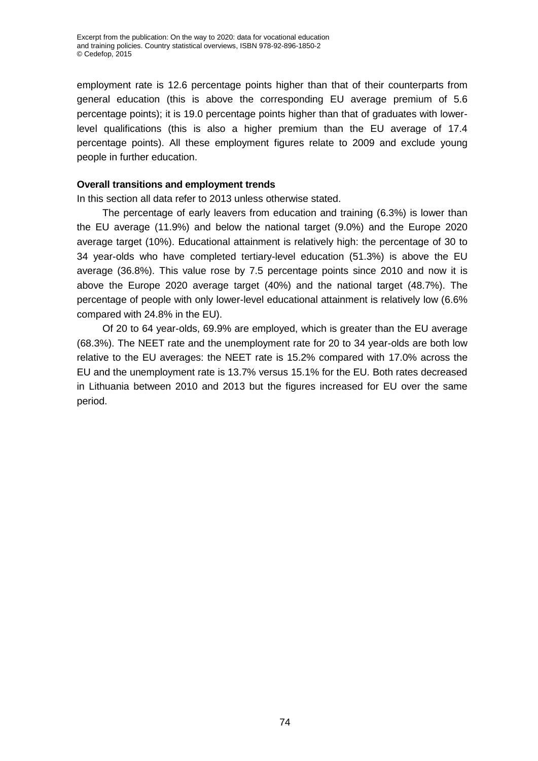employment rate is 12.6 percentage points higher than that of their counterparts from general education (this is above the corresponding EU average premium of 5.6 percentage points); it is 19.0 percentage points higher than that of graduates with lowerlevel qualifications (this is also a higher premium than the EU average of 17.4 percentage points). All these employment figures relate to 2009 and exclude young people in further education.

### **Overall transitions and employment trends**

In this section all data refer to 2013 unless otherwise stated.

The percentage of early leavers from education and training (6.3%) is lower than the EU average (11.9%) and below the national target (9.0%) and the Europe 2020 average target (10%). Educational attainment is relatively high: the percentage of 30 to 34 year-olds who have completed tertiary-level education (51.3%) is above the EU average (36.8%). This value rose by 7.5 percentage points since 2010 and now it is above the Europe 2020 average target (40%) and the national target (48.7%). The percentage of people with only lower-level educational attainment is relatively low (6.6% compared with 24.8% in the EU).

Of 20 to 64 year-olds, 69.9% are employed, which is greater than the EU average (68.3%). The NEET rate and the unemployment rate for 20 to 34 year-olds are both low relative to the EU averages: the NEET rate is 15.2% compared with 17.0% across the EU and the unemployment rate is 13.7% versus 15.1% for the EU. Both rates decreased in Lithuania between 2010 and 2013 but the figures increased for EU over the same period.